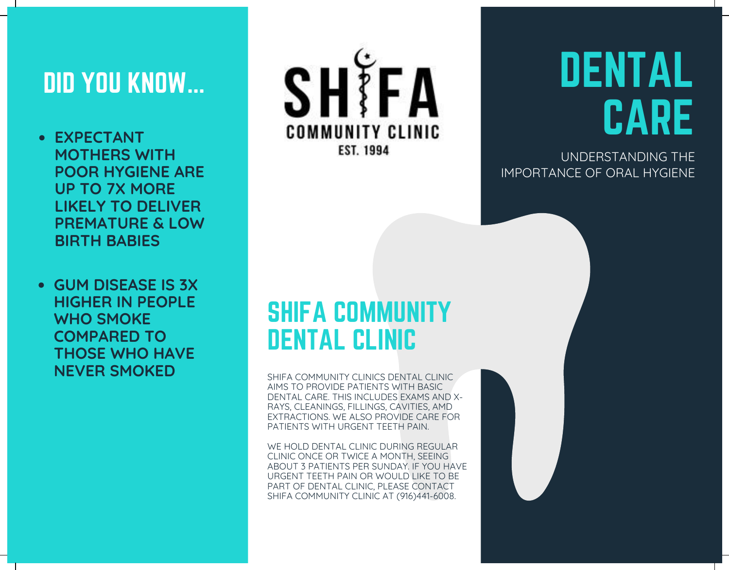# DID YOU KNOW...

- **EXPECTANT MOTHERS WITH POOR HYGIENE ARE UP TO 7X MORE LIKELY TO DELIVER PREMATURE & LOW BIRTH BABIES**
- **GUM DISEASE IS 3X HIGHER IN PEOPLE WHO SMOKE COMPARED TO THOSE WHO HAVE NEVER SMOKED**



# DENTAL CARE

UNDERSTANDING THE IMPORTANCE OF ORAL HYGIENE

## SHIFA COMMUNITY DENTAL CLINIC

SHIFA COMMUNITY CLINICS DENTAL CLINIC AIMS TO PROVIDE PATIENTS WITH BASIC DENTAL CARE. THIS INCLUDES EXAMS AND X-RAYS, CLEANINGS, FILLINGS, CAVITIES, AMD EXTRACTIONS. WE ALSO PROVIDE CARE FOR PATIENTS WITH URGENT TEETH PAIN.

WE HOLD DENTAL CLINIC DURING REGULAR CLINIC ONCE OR TWICE A MONTH, SEEING ABOUT 3 PATIENTS PER SUNDAY. IF YOU HAVE URGENT TEETH PAIN OR WOULD LIKE TO BE PART OF DENTAL CLINIC, PLEASE CONTACT SHIFA COMMUNITY CLINIC AT (916)441-6008.